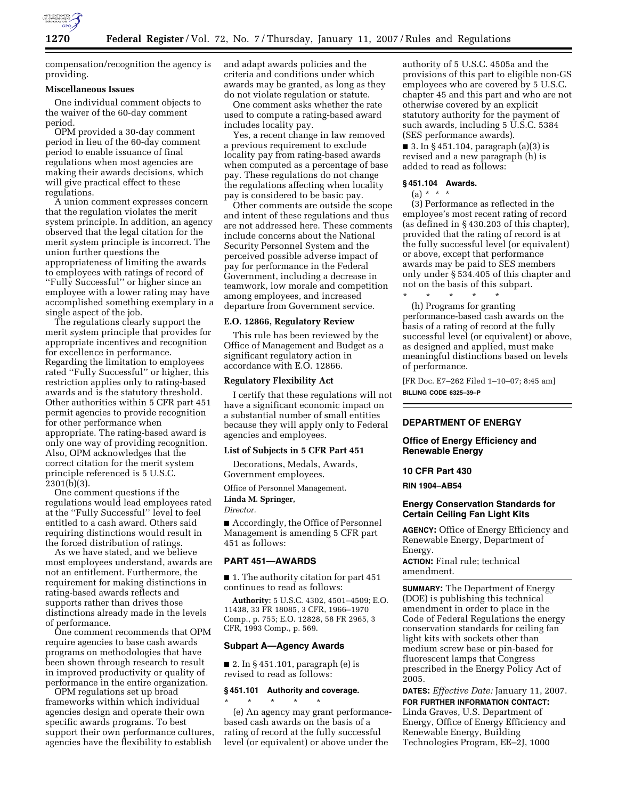

compensation/recognition the agency is providing.

## **Miscellaneous Issues**

One individual comment objects to the waiver of the 60-day comment period.

OPM provided a 30-day comment period in lieu of the 60-day comment period to enable issuance of final regulations when most agencies are making their awards decisions, which will give practical effect to these regulations.

A union comment expresses concern that the regulation violates the merit system principle. In addition, an agency observed that the legal citation for the merit system principle is incorrect. The union further questions the appropriateness of limiting the awards to employees with ratings of record of ''Fully Successful'' or higher since an employee with a lower rating may have accomplished something exemplary in a single aspect of the job.

The regulations clearly support the merit system principle that provides for appropriate incentives and recognition for excellence in performance. Regarding the limitation to employees rated ''Fully Successful'' or higher, this restriction applies only to rating-based awards and is the statutory threshold. Other authorities within 5 CFR part 451 permit agencies to provide recognition for other performance when appropriate. The rating-based award is only one way of providing recognition. Also, OPM acknowledges that the correct citation for the merit system principle referenced is 5 U.S.C. 2301(b)(3).

One comment questions if the regulations would lead employees rated at the ''Fully Successful'' level to feel entitled to a cash award. Others said requiring distinctions would result in the forced distribution of ratings.

As we have stated, and we believe most employees understand, awards are not an entitlement. Furthermore, the requirement for making distinctions in rating-based awards reflects and supports rather than drives those distinctions already made in the levels of performance.

One comment recommends that OPM require agencies to base cash awards programs on methodologies that have been shown through research to result in improved productivity or quality of performance in the entire organization.

OPM regulations set up broad frameworks within which individual agencies design and operate their own specific awards programs. To best support their own performance cultures, agencies have the flexibility to establish

and adapt awards policies and the criteria and conditions under which awards may be granted, as long as they do not violate regulation or statute.

One comment asks whether the rate used to compute a rating-based award includes locality pay.

Yes, a recent change in law removed a previous requirement to exclude locality pay from rating-based awards when computed as a percentage of base pay. These regulations do not change the regulations affecting when locality pay is considered to be basic pay.

Other comments are outside the scope and intent of these regulations and thus are not addressed here. These comments include concerns about the National Security Personnel System and the perceived possible adverse impact of pay for performance in the Federal Government, including a decrease in teamwork, low morale and competition among employees, and increased departure from Government service.

### **E.O. 12866, Regulatory Review**

This rule has been reviewed by the Office of Management and Budget as a significant regulatory action in accordance with E.O. 12866.

## **Regulatory Flexibility Act**

I certify that these regulations will not have a significant economic impact on a substantial number of small entities because they will apply only to Federal agencies and employees.

# **List of Subjects in 5 CFR Part 451**

Decorations, Medals, Awards, Government employees.

Office of Personnel Management. **Linda M. Springer,** 

*Director.* 

■ Accordingly, the Office of Personnel Management is amending 5 CFR part 451 as follows:

# **PART 451—AWARDS**

■ 1. The authority citation for part 451 continues to read as follows:

**Authority:** 5 U.S.C. 4302, 4501–4509; E.O. 11438, 33 FR 18085, 3 CFR, 1966–1970 Comp., p. 755; E.O. 12828, 58 FR 2965, 3 CFR, 1993 Comp., p. 569.

### **Subpart A—Agency Awards**

■ 2. In § 451.101, paragraph (e) is revised to read as follows:

# **§ 451.101 Authority and coverage.**

\* \* \* \* \*

(e) An agency may grant performancebased cash awards on the basis of a rating of record at the fully successful level (or equivalent) or above under the

authority of 5 U.S.C. 4505a and the provisions of this part to eligible non-GS employees who are covered by 5 U.S.C. chapter 45 and this part and who are not otherwise covered by an explicit statutory authority for the payment of such awards, including 5 U.S.C. 5384 (SES performance awards).

■ 3. In § 451.104, paragraph (a)(3) is revised and a new paragraph (h) is added to read as follows:

#### **§ 451.104 Awards.**

 $(a) * * * *$ 

(3) Performance as reflected in the employee's most recent rating of record (as defined in § 430.203 of this chapter), provided that the rating of record is at the fully successful level (or equivalent) or above, except that performance awards may be paid to SES members only under § 534.405 of this chapter and not on the basis of this subpart.

\* \* \* \* \* (h) Programs for granting performance-based cash awards on the basis of a rating of record at the fully successful level (or equivalent) or above, as designed and applied, must make meaningful distinctions based on levels of performance.

[FR Doc. E7–262 Filed 1–10–07; 8:45 am] **BILLING CODE 6325–39–P** 

## **DEPARTMENT OF ENERGY**

### **Office of Energy Efficiency and Renewable Energy**

# **10 CFR Part 430**

## **RIN 1904–AB54**

# **Energy Conservation Standards for Certain Ceiling Fan Light Kits**

**AGENCY:** Office of Energy Efficiency and Renewable Energy, Department of Energy.

**ACTION:** Final rule; technical amendment.

**SUMMARY:** The Department of Energy (DOE) is publishing this technical amendment in order to place in the Code of Federal Regulations the energy conservation standards for ceiling fan light kits with sockets other than medium screw base or pin-based for fluorescent lamps that Congress prescribed in the Energy Policy Act of 2005.

**DATES:** *Effective Date:* January 11, 2007. **FOR FURTHER INFORMATION CONTACT:**  Linda Graves, U.S. Department of Energy, Office of Energy Efficiency and Renewable Energy, Building Technologies Program, EE–2J, 1000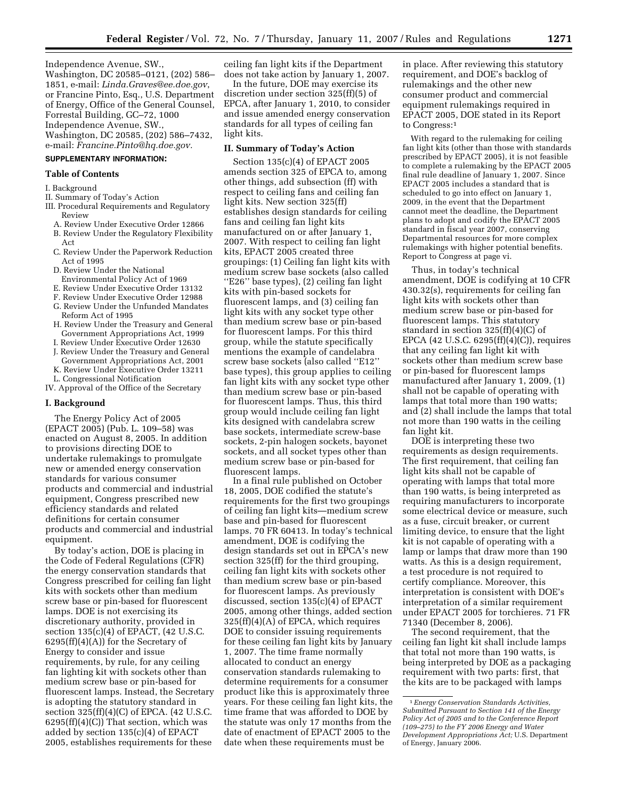Independence Avenue, SW., Washington, DC 20585–0121, (202) 586– 1851, e-mail: *Linda.Graves@ee.doe.gov*, or Francine Pinto, Esq., U.S. Department

of Energy, Office of the General Counsel, Forrestal Building, GC–72, 1000 Independence Avenue, SW., Washington, DC 20585, (202) 586–7432, e-mail: *Francine.Pinto@hq.doe.gov.* 

# **SUPPLEMENTARY INFORMATION:**

#### **Table of Contents**

I. Background

II. Summary of Today's Action

- III. Procedural Requirements and Regulatory Review
	- A. Review Under Executive Order 12866 B. Review Under the Regulatory Flexibility Act
	- C. Review Under the Paperwork Reduction Act of 1995
	- D. Review Under the National
	- Environmental Policy Act of 1969
	- E. Review Under Executive Order 13132
	- F. Review Under Executive Order 12988
	- G. Review Under the Unfunded Mandates
	- Reform Act of 1995 H. Review Under the Treasury and General Government Appropriations Act, 1999
	- I. Review Under Executive Order 12630
	- J. Review Under the Treasury and General Government Appropriations Act, 2001
	- K. Review Under Executive Order 13211
- L. Congressional Notification

IV. Approval of the Office of the Secretary

## **I. Background**

The Energy Policy Act of 2005 (EPACT 2005) (Pub. L. 109–58) was enacted on August 8, 2005. In addition to provisions directing DOE to undertake rulemakings to promulgate new or amended energy conservation standards for various consumer products and commercial and industrial equipment, Congress prescribed new efficiency standards and related definitions for certain consumer products and commercial and industrial equipment.

By today's action, DOE is placing in the Code of Federal Regulations (CFR) the energy conservation standards that Congress prescribed for ceiling fan light kits with sockets other than medium screw base or pin-based for fluorescent lamps. DOE is not exercising its discretionary authority, provided in section 135(c)(4) of EPACT, (42 U.S.C.  $6295(ff)(4)(A)$  for the Secretary of Energy to consider and issue requirements, by rule, for any ceiling fan lighting kit with sockets other than medium screw base or pin-based for fluorescent lamps. Instead, the Secretary is adopting the statutory standard in section 325(ff)(4)(C) of EPCA. (42 U.S.C.  $6295(ff)(4)(C)$  That section, which was added by section 135(c)(4) of EPACT 2005, establishes requirements for these

ceiling fan light kits if the Department does not take action by January 1, 2007.

In the future, DOE may exercise its discretion under section 325(ff)(5) of EPCA, after January 1, 2010, to consider and issue amended energy conservation standards for all types of ceiling fan light kits.

#### **II. Summary of Today's Action**

Section 135(c)(4) of EPACT 2005 amends section 325 of EPCA to, among other things, add subsection (ff) with respect to ceiling fans and ceiling fan light kits. New section 325(ff) establishes design standards for ceiling fans and ceiling fan light kits manufactured on or after January 1, 2007. With respect to ceiling fan light kits, EPACT 2005 created three groupings: (1) Ceiling fan light kits with medium screw base sockets (also called ''E26'' base types), (2) ceiling fan light kits with pin-based sockets for fluorescent lamps, and (3) ceiling fan light kits with any socket type other than medium screw base or pin-based for fluorescent lamps. For this third group, while the statute specifically mentions the example of candelabra screw base sockets (also called ''E12'' base types), this group applies to ceiling fan light kits with any socket type other than medium screw base or pin-based for fluorescent lamps. Thus, this third group would include ceiling fan light kits designed with candelabra screw base sockets, intermediate screw-base sockets, 2-pin halogen sockets, bayonet sockets, and all socket types other than medium screw base or pin-based for fluorescent lamps.

In a final rule published on October 18, 2005, DOE codified the statute's requirements for the first two groupings of ceiling fan light kits—medium screw base and pin-based for fluorescent lamps. 70 FR 60413. In today's technical amendment, DOE is codifying the design standards set out in EPCA's new section 325(ff) for the third grouping, ceiling fan light kits with sockets other than medium screw base or pin-based for fluorescent lamps. As previously discussed, section 135(c)(4) of EPACT 2005, among other things, added section 325(ff)(4)(A) of EPCA, which requires DOE to consider issuing requirements for these ceiling fan light kits by January 1, 2007. The time frame normally allocated to conduct an energy conservation standards rulemaking to determine requirements for a consumer product like this is approximately three years. For these ceiling fan light kits, the time frame that was afforded to DOE by the statute was only 17 months from the date of enactment of EPACT 2005 to the date when these requirements must be

in place. After reviewing this statutory requirement, and DOE's backlog of rulemakings and the other new consumer product and commercial equipment rulemakings required in EPACT 2005, DOE stated in its Report to Congress:1

With regard to the rulemaking for ceiling fan light kits (other than those with standards prescribed by EPACT 2005), it is not feasible to complete a rulemaking by the EPACT 2005 final rule deadline of January 1, 2007. Since EPACT 2005 includes a standard that is scheduled to go into effect on January 1, 2009, in the event that the Department cannot meet the deadline, the Department plans to adopt and codify the EPACT 2005 standard in fiscal year 2007, conserving Departmental resources for more complex rulemakings with higher potential benefits. Report to Congress at page vi.

Thus, in today's technical amendment, DOE is codifying at 10 CFR 430.32(s), requirements for ceiling fan light kits with sockets other than medium screw base or pin-based for fluorescent lamps. This statutory standard in section 325(ff)(4)(C) of EPCA (42 U.S.C. 6295(ff)(4)(C)), requires that any ceiling fan light kit with sockets other than medium screw base or pin-based for fluorescent lamps manufactured after January 1, 2009, (1) shall not be capable of operating with lamps that total more than 190 watts; and (2) shall include the lamps that total not more than 190 watts in the ceiling fan light kit.

DOE is interpreting these two requirements as design requirements. The first requirement, that ceiling fan light kits shall not be capable of operating with lamps that total more than 190 watts, is being interpreted as requiring manufacturers to incorporate some electrical device or measure, such as a fuse, circuit breaker, or current limiting device, to ensure that the light kit is not capable of operating with a lamp or lamps that draw more than 190 watts. As this is a design requirement, a test procedure is not required to certify compliance. Moreover, this interpretation is consistent with DOE's interpretation of a similar requirement under EPACT 2005 for torchieres. 71 FR 71340 (December 8, 2006).

The second requirement, that the ceiling fan light kit shall include lamps that total not more than 190 watts, is being interpreted by DOE as a packaging requirement with two parts: first, that the kits are to be packaged with lamps

<sup>1</sup>*Energy Conservation Standards Activities, Submitted Pursuant to Section 141 of the Energy Policy Act of 2005 and to the Conference Report (109–275) to the FY 2006 Energy and Water Development Appropriations Act;* U.S. Department of Energy, January 2006.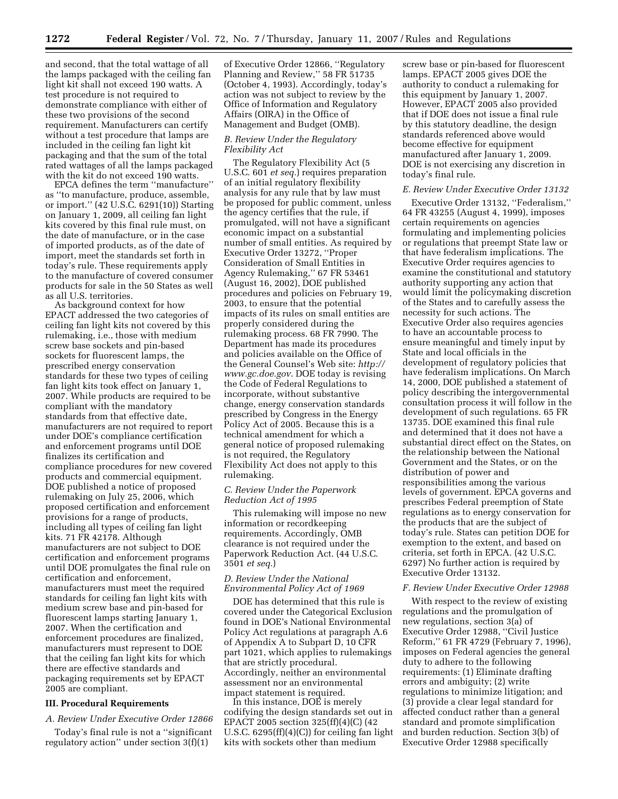and second, that the total wattage of all the lamps packaged with the ceiling fan light kit shall not exceed 190 watts. A test procedure is not required to demonstrate compliance with either of these two provisions of the second requirement. Manufacturers can certify without a test procedure that lamps are included in the ceiling fan light kit packaging and that the sum of the total rated wattages of all the lamps packaged with the kit do not exceed 190 watts.

EPCA defines the term ''manufacture'' as ''to manufacture, produce, assemble, or import.'' (42 U.S.C. 6291(10)) Starting on January 1, 2009, all ceiling fan light kits covered by this final rule must, on the date of manufacture, or in the case of imported products, as of the date of import, meet the standards set forth in today's rule. These requirements apply to the manufacture of covered consumer products for sale in the 50 States as well as all U.S. territories.

As background context for how EPACT addressed the two categories of ceiling fan light kits not covered by this rulemaking, i.e., those with medium screw base sockets and pin-based sockets for fluorescent lamps, the prescribed energy conservation standards for these two types of ceiling fan light kits took effect on January 1, 2007. While products are required to be compliant with the mandatory standards from that effective date, manufacturers are not required to report under DOE's compliance certification and enforcement programs until DOE finalizes its certification and compliance procedures for new covered products and commercial equipment. DOE published a notice of proposed rulemaking on July 25, 2006, which proposed certification and enforcement provisions for a range of products, including all types of ceiling fan light kits. 71 FR 42178. Although manufacturers are not subject to DOE certification and enforcement programs until DOE promulgates the final rule on certification and enforcement, manufacturers must meet the required standards for ceiling fan light kits with medium screw base and pin-based for fluorescent lamps starting January 1, 2007. When the certification and enforcement procedures are finalized, manufacturers must represent to DOE that the ceiling fan light kits for which there are effective standards and packaging requirements set by EPACT 2005 are compliant.

# **III. Procedural Requirements**

### *A. Review Under Executive Order 12866*

Today's final rule is not a ''significant regulatory action'' under section 3(f)(1)

of Executive Order 12866, ''Regulatory Planning and Review,'' 58 FR 51735 (October 4, 1993). Accordingly, today's action was not subject to review by the Office of Information and Regulatory Affairs (OIRA) in the Office of Management and Budget (OMB).

## *B. Review Under the Regulatory Flexibility Act*

The Regulatory Flexibility Act (5 U.S.C. 601 *et seq.*) requires preparation of an initial regulatory flexibility analysis for any rule that by law must be proposed for public comment, unless the agency certifies that the rule, if promulgated, will not have a significant economic impact on a substantial number of small entities. As required by Executive Order 13272, ''Proper Consideration of Small Entities in Agency Rulemaking,'' 67 FR 53461 (August 16, 2002), DOE published procedures and policies on February 19, 2003, to ensure that the potential impacts of its rules on small entities are properly considered during the rulemaking process. 68 FR 7990. The Department has made its procedures and policies available on the Office of the General Counsel's Web site: *http:// www.gc.doe.gov*. DOE today is revising the Code of Federal Regulations to incorporate, without substantive change, energy conservation standards prescribed by Congress in the Energy Policy Act of 2005. Because this is a technical amendment for which a general notice of proposed rulemaking is not required, the Regulatory Flexibility Act does not apply to this rulemaking.

# *C. Review Under the Paperwork Reduction Act of 1995*

This rulemaking will impose no new information or recordkeeping requirements. Accordingly, OMB clearance is not required under the Paperwork Reduction Act. (44 U.S.C. 3501 *et seq.*)

# *D. Review Under the National Environmental Policy Act of 1969*

DOE has determined that this rule is covered under the Categorical Exclusion found in DOE's National Environmental Policy Act regulations at paragraph A.6 of Appendix A to Subpart D, 10 CFR part 1021, which applies to rulemakings that are strictly procedural. Accordingly, neither an environmental assessment nor an environmental impact statement is required.

In this instance, DOE is merely codifying the design standards set out in EPACT 2005 section 325(ff)(4)(C) (42 U.S.C. 6295(ff)(4)(C)) for ceiling fan light kits with sockets other than medium

screw base or pin-based for fluorescent lamps. EPACT 2005 gives DOE the authority to conduct a rulemaking for this equipment by January 1, 2007. However, EPACT 2005 also provided that if DOE does not issue a final rule by this statutory deadline, the design standards referenced above would become effective for equipment manufactured after January 1, 2009. DOE is not exercising any discretion in today's final rule.

#### *E. Review Under Executive Order 13132*

Executive Order 13132, ''Federalism,'' 64 FR 43255 (August 4, 1999), imposes certain requirements on agencies formulating and implementing policies or regulations that preempt State law or that have federalism implications. The Executive Order requires agencies to examine the constitutional and statutory authority supporting any action that would limit the policymaking discretion of the States and to carefully assess the necessity for such actions. The Executive Order also requires agencies to have an accountable process to ensure meaningful and timely input by State and local officials in the development of regulatory policies that have federalism implications. On March 14, 2000, DOE published a statement of policy describing the intergovernmental consultation process it will follow in the development of such regulations. 65 FR 13735. DOE examined this final rule and determined that it does not have a substantial direct effect on the States, on the relationship between the National Government and the States, or on the distribution of power and responsibilities among the various levels of government. EPCA governs and prescribes Federal preemption of State regulations as to energy conservation for the products that are the subject of today's rule. States can petition DOE for exemption to the extent, and based on criteria, set forth in EPCA. (42 U.S.C. 6297) No further action is required by Executive Order 13132.

### *F. Review Under Executive Order 12988*

With respect to the review of existing regulations and the promulgation of new regulations, section 3(a) of Executive Order 12988, ''Civil Justice Reform,'' 61 FR 4729 (February 7, 1996), imposes on Federal agencies the general duty to adhere to the following requirements: (1) Eliminate drafting errors and ambiguity; (2) write regulations to minimize litigation; and (3) provide a clear legal standard for affected conduct rather than a general standard and promote simplification and burden reduction. Section 3(b) of Executive Order 12988 specifically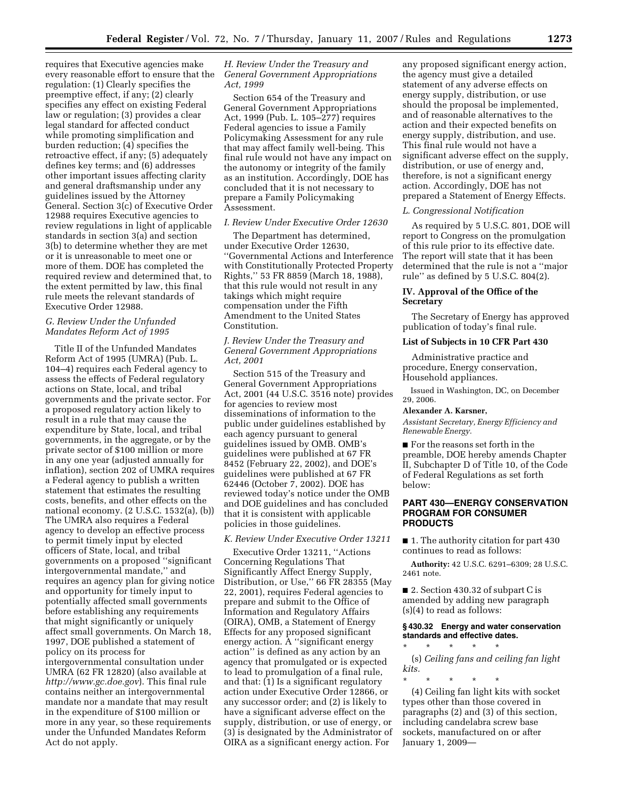requires that Executive agencies make every reasonable effort to ensure that the regulation: (1) Clearly specifies the preemptive effect, if any; (2) clearly specifies any effect on existing Federal law or regulation; (3) provides a clear legal standard for affected conduct while promoting simplification and burden reduction; (4) specifies the retroactive effect, if any; (5) adequately defines key terms; and (6) addresses other important issues affecting clarity and general draftsmanship under any guidelines issued by the Attorney General. Section 3(c) of Executive Order 12988 requires Executive agencies to review regulations in light of applicable standards in section 3(a) and section 3(b) to determine whether they are met or it is unreasonable to meet one or more of them. DOE has completed the required review and determined that, to the extent permitted by law, this final rule meets the relevant standards of Executive Order 12988.

# *G. Review Under the Unfunded Mandates Reform Act of 1995*

Title II of the Unfunded Mandates Reform Act of 1995 (UMRA) (Pub. L. 104–4) requires each Federal agency to assess the effects of Federal regulatory actions on State, local, and tribal governments and the private sector. For a proposed regulatory action likely to result in a rule that may cause the expenditure by State, local, and tribal governments, in the aggregate, or by the private sector of \$100 million or more in any one year (adjusted annually for inflation), section 202 of UMRA requires a Federal agency to publish a written statement that estimates the resulting costs, benefits, and other effects on the national economy. (2 U.S.C. 1532(a), (b)) The UMRA also requires a Federal agency to develop an effective process to permit timely input by elected officers of State, local, and tribal governments on a proposed ''significant intergovernmental mandate,'' and requires an agency plan for giving notice and opportunity for timely input to potentially affected small governments before establishing any requirements that might significantly or uniquely affect small governments. On March 18, 1997, DOE published a statement of policy on its process for intergovernmental consultation under UMRA (62 FR 12820) (also available at *http://www.gc.doe.gov*). This final rule contains neither an intergovernmental mandate nor a mandate that may result in the expenditure of \$100 million or more in any year, so these requirements under the Unfunded Mandates Reform Act do not apply.

# *H. Review Under the Treasury and General Government Appropriations Act, 1999*

Section 654 of the Treasury and General Government Appropriations Act, 1999 (Pub. L. 105–277) requires Federal agencies to issue a Family Policymaking Assessment for any rule that may affect family well-being. This final rule would not have any impact on the autonomy or integrity of the family as an institution. Accordingly, DOE has concluded that it is not necessary to prepare a Family Policymaking Assessment.

# *I. Review Under Executive Order 12630*

The Department has determined, under Executive Order 12630, ''Governmental Actions and Interference with Constitutionally Protected Property Rights,'' 53 FR 8859 (March 18, 1988), that this rule would not result in any takings which might require compensation under the Fifth Amendment to the United States Constitution.

# *J. Review Under the Treasury and General Government Appropriations Act, 2001*

Section 515 of the Treasury and General Government Appropriations Act, 2001 (44 U.S.C. 3516 note) provides for agencies to review most disseminations of information to the public under guidelines established by each agency pursuant to general guidelines issued by OMB. OMB's guidelines were published at 67 FR 8452 (February 22, 2002), and DOE's guidelines were published at 67 FR 62446 (October 7, 2002). DOE has reviewed today's notice under the OMB and DOE guidelines and has concluded that it is consistent with applicable policies in those guidelines.

### *K. Review Under Executive Order 13211*

Executive Order 13211, ''Actions Concerning Regulations That Significantly Affect Energy Supply, Distribution, or Use,'' 66 FR 28355 (May 22, 2001), requires Federal agencies to prepare and submit to the Office of Information and Regulatory Affairs (OIRA), OMB, a Statement of Energy Effects for any proposed significant energy action. A ''significant energy action'' is defined as any action by an agency that promulgated or is expected to lead to promulgation of a final rule, and that: (1) Is a significant regulatory action under Executive Order 12866, or any successor order; and (2) is likely to have a significant adverse effect on the supply, distribution, or use of energy, or (3) is designated by the Administrator of OIRA as a significant energy action. For

any proposed significant energy action, the agency must give a detailed statement of any adverse effects on energy supply, distribution, or use should the proposal be implemented, and of reasonable alternatives to the action and their expected benefits on energy supply, distribution, and use. This final rule would not have a significant adverse effect on the supply, distribution, or use of energy and, therefore, is not a significant energy action. Accordingly, DOE has not prepared a Statement of Energy Effects.

### *L. Congressional Notification*

As required by 5 U.S.C. 801, DOE will report to Congress on the promulgation of this rule prior to its effective date. The report will state that it has been determined that the rule is not a ''major rule'' as defined by 5 U.S.C. 804(2).

## **IV. Approval of the Office of the Secretary**

The Secretary of Energy has approved publication of today's final rule.

## **List of Subjects in 10 CFR Part 430**

Administrative practice and procedure, Energy conservation, Household appliances.

Issued in Washington, DC, on December 29, 2006.

# **Alexander A. Karsner,**

*Assistant Secretary, Energy Efficiency and Renewable Energy.* 

■ For the reasons set forth in the preamble, DOE hereby amends Chapter II, Subchapter D of Title 10, of the Code of Federal Regulations as set forth below:

## **PART 430—ENERGY CONSERVATION PROGRAM FOR CONSUMER PRODUCTS**

■ 1. The authority citation for part 430 continues to read as follows:

**Authority:** 42 U.S.C. 6291–6309; 28 U.S.C. 2461 note.

■ 2. Section 430.32 of subpart C is amended by adding new paragraph (s)(4) to read as follows:

# **§ 430.32 Energy and water conservation standards and effective dates.**

\* \* \* \* \* (s) *Ceiling fans and ceiling fan light kits.* 

\* \* \* \* \* (4) Ceiling fan light kits with socket types other than those covered in paragraphs (2) and (3) of this section, including candelabra screw base sockets, manufactured on or after January 1, 2009—